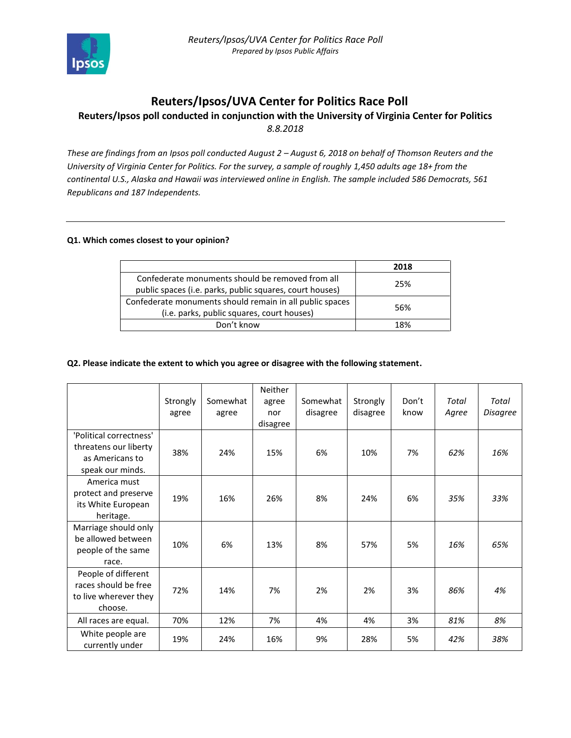

# **Reuters/Ipsos/UVA Center for Politics Race Poll**

# **Reuters/Ipsos poll conducted in conjunction with the University of Virginia Center for Politics** *8.8.2018*

*These are findings from an Ipsos poll conducted August 2 – August 6, 2018 on behalf of Thomson Reuters and the University of Virginia Center for Politics. For the survey, a sample of roughly 1,450 adults age 18+ from the continental U.S., Alaska and Hawaii was interviewed online in English. The sample included 586 Democrats, 561 Republicans and 187 Independents.* 

## **Q1. Which comes closest to your opinion?**

|                                                          | 2018 |
|----------------------------------------------------------|------|
| Confederate monuments should be removed from all         | 25%  |
| public spaces (i.e. parks, public squares, court houses) |      |
| Confederate monuments should remain in all public spaces | 56%  |
| (i.e. parks, public squares, court houses)               |      |
| Don't know                                               | 18%  |

#### **Q2. Please indicate the extent to which you agree or disagree with the following statement.**

|                                                                                         | Strongly<br>agree | Somewhat<br>agree | <b>Neither</b><br>agree<br>nor<br>disagree | Somewhat<br>disagree | Strongly<br>disagree | Don't<br>know | Total<br>Agree | Total<br><b>Disagree</b> |
|-----------------------------------------------------------------------------------------|-------------------|-------------------|--------------------------------------------|----------------------|----------------------|---------------|----------------|--------------------------|
| 'Political correctness'<br>threatens our liberty<br>as Americans to<br>speak our minds. | 38%               | 24%               | 15%                                        | 6%                   | 10%                  | 7%            | 62%            | 16%                      |
| America must<br>protect and preserve<br>its White European<br>heritage.                 | 19%               | 16%               | 26%                                        | 8%                   | 24%                  | 6%            | 35%            | 33%                      |
| Marriage should only<br>be allowed between<br>people of the same<br>race.               | 10%               | 6%                | 13%                                        | 8%                   | 57%                  | 5%            | 16%            | 65%                      |
| People of different<br>races should be free<br>to live wherever they<br>choose.         | 72%               | 14%               | 7%                                         | 2%                   | 2%                   | 3%            | 86%            | 4%                       |
| All races are equal.                                                                    | 70%               | 12%               | 7%                                         | 4%                   | 4%                   | 3%            | 81%            | 8%                       |
| White people are<br>currently under                                                     | 19%               | 24%               | 16%                                        | 9%                   | 28%                  | 5%            | 42%            | 38%                      |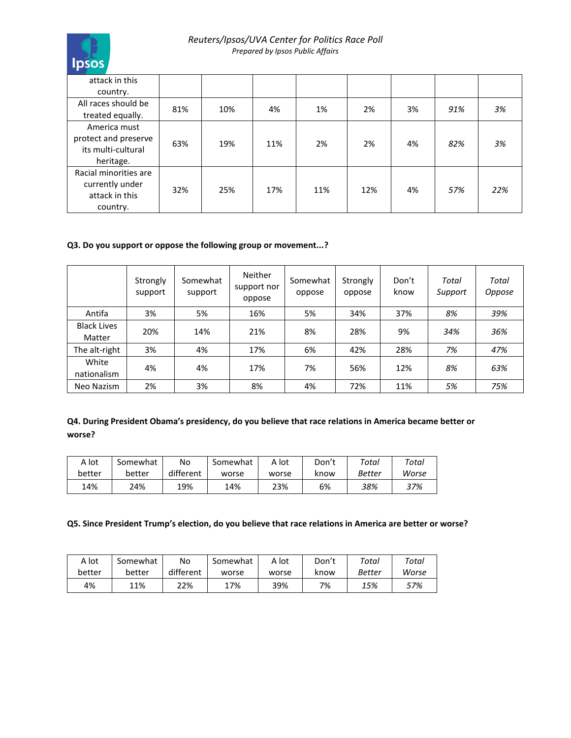

# *Reuters/Ipsos/UVA Center for Politics Race Poll Prepared by Ipsos Public Affairs*

| attack in this        |     |     |     |     |     |    |     |     |
|-----------------------|-----|-----|-----|-----|-----|----|-----|-----|
| country.              |     |     |     |     |     |    |     |     |
| All races should be   | 81% | 10% | 4%  | 1%  | 2%  | 3% | 91% | 3%  |
| treated equally.      |     |     |     |     |     |    |     |     |
| America must          |     |     |     |     |     |    |     |     |
| protect and preserve  | 63% | 19% | 11% | 2%  | 2%  | 4% | 82% | 3%  |
| its multi-cultural    |     |     |     |     |     |    |     |     |
| heritage.             |     |     |     |     |     |    |     |     |
| Racial minorities are |     |     |     |     |     |    |     |     |
| currently under       | 32% | 25% | 17% | 11% | 12% | 4% | 57% | 22% |
| attack in this        |     |     |     |     |     |    |     |     |
| country.              |     |     |     |     |     |    |     |     |

# **Q3. Do you support or oppose the following group or movement...?**

|                              | Strongly<br>support | Somewhat<br>support | <b>Neither</b><br>support nor<br>oppose | Somewhat<br>oppose | Strongly<br>oppose | Don't<br>know | Total<br>Support | Total<br>Oppose |
|------------------------------|---------------------|---------------------|-----------------------------------------|--------------------|--------------------|---------------|------------------|-----------------|
| Antifa                       | 3%                  | 5%                  | 16%                                     | 5%                 | 34%                | 37%           | 8%               | 39%             |
| <b>Black Lives</b><br>Matter | 20%                 | 14%                 | 21%                                     | 8%                 | 28%                | 9%            | 34%              | 36%             |
| The alt-right                | 3%                  | 4%                  | 17%                                     | 6%                 | 42%                | 28%           | 7%               | 47%             |
| White<br>nationalism         | 4%                  | 4%                  | 17%                                     | 7%                 | 56%                | 12%           | 8%               | 63%             |
| Neo Nazism                   | 2%                  | 3%                  | 8%                                      | 4%                 | 72%                | 11%           | 5%               | 75%             |

# **Q4. During President Obama's presidency, do you believe that race relations in America became better or worse?**

| A lot  | Somewhat | No        | Somewhat | A lot | Don't | Total  | Total |
|--------|----------|-----------|----------|-------|-------|--------|-------|
| better | better   | different | worse    | worse | know  | Better | Worse |
| 14%    | 24%      | 19%       | 14%      | 23%   | 6%    | 38%    | 37%   |

# **Q5. Since President Trump's election, do you believe that race relations in America are better or worse?**

| A lot  | Somewhat | No        | Somewhat | A lot | Don't | $\tau$ otal | Total |
|--------|----------|-----------|----------|-------|-------|-------------|-------|
| better | better   | different | worse    | worse | know  | Better      | Worse |
| 4%     | 11%      | 22%       | 17%      | 39%   | 7%    | 15%         | 57%   |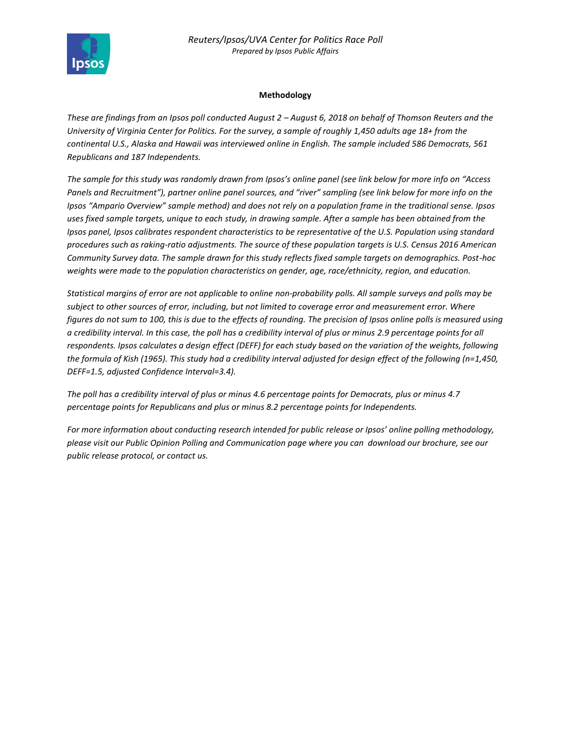

# **Methodology**

*These are findings from an Ipsos poll conducted August 2 – August 6, 2018 on behalf of Thomson Reuters and the University of Virginia Center for Politics. For the survey, a sample of roughly 1,450 adults age 18+ from the continental U.S., Alaska and Hawaii was interviewed online in English. The sample included 586 Democrats, 561 Republicans and 187 Independents.* 

*The sample for this study was randomly drawn from Ipsos's online panel (see link below for more info on "Access Panels and Recruitment"), partner online panel sources, and "river" sampling (see link below for more info on the Ipsos "Ampario Overview" sample method) and does not rely on a population frame in the traditional sense. Ipsos uses fixed sample targets, unique to each study, in drawing sample. After a sample has been obtained from the Ipsos panel, Ipsos calibrates respondent characteristics to be representative of the U.S. Population using standard procedures such as raking-ratio adjustments. The source of these population targets is U.S. Census 2016 American Community Survey data. The sample drawn for this study reflects fixed sample targets on demographics. Post-hoc weights were made to the population characteristics on gender, age, race/ethnicity, region, and education.* 

*Statistical margins of error are not applicable to online non-probability polls. All sample surveys and polls may be subject to other sources of error, including, but not limited to coverage error and measurement error. Where figures do not sum to 100, this is due to the effects of rounding. The precision of Ipsos online polls is measured using a credibility interval. In this case, the poll has a credibility interval of plus or minus 2.9 percentage points for all respondents. Ipsos calculates a design effect (DEFF) for each study based on the variation of the weights, following the formula of Kish (1965). This study had a credibility interval adjusted for design effect of the following (n=1,450, DEFF=1.5, adjusted Confidence Interval=3.4).* 

*The poll has a credibility interval of plus or minus 4.6 percentage points for Democrats, plus or minus 4.7 percentage points for Republicans and plus or minus 8.2 percentage points for Independents.* 

*For more information about conducting research intended for public release or Ipsos' online polling methodology, please visit our Public Opinion Polling and Communication page where you can download our brochure, see our public release protocol, or contact us.*